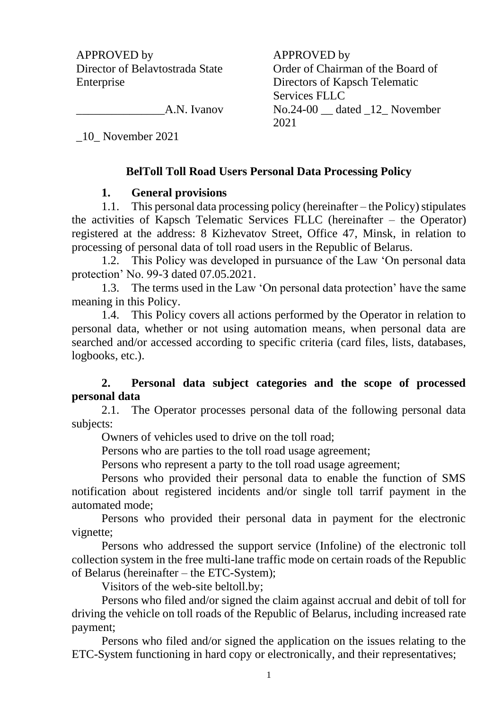APPROVED by Director of Belavtostrada State Enterprise

APPROVED by Order of Chairman of the Board of Directors of Kapsch Telematic Services FLLC No.24-00 \_\_ dated \_12\_ November 2021

\_\_\_\_\_\_\_\_\_\_\_\_\_\_\_A.N. Ivanov

\_10\_ November 2021

## **BelToll Toll Road Users Personal Data Processing Policy**

### **1. General provisions**

1.1. This personal data processing policy (hereinafter – the Policy) stipulates the activities of Kapsch Telematic Services FLLC (hereinafter – the Operator) registered at the address: 8 Kizhevatov Street, Office 47, Minsk, in relation to processing of personal data of toll road users in the Republic of Belarus.

1.2. This Policy was developed in pursuance of the Law 'On personal data protection' No. 99-З dated 07.05.2021.

1.3. The terms used in the Law 'On personal data protection' have the same meaning in this Policy.

1.4. This Policy covers all actions performed by the Operator in relation to personal data, whether or not using automation means, when personal data are searched and/or accessed according to specific criteria (card files, lists, databases, logbooks, etc.).

### **2. Personal data subject categories and the scope of processed personal data**

2.1. The Operator processes personal data of the following personal data subjects:

Owners of vehicles used to drive on the toll road;

Persons who are parties to the toll road usage agreement;

Persons who represent a party to the toll road usage agreement;

Persons who provided their personal data to enable the function of SMS notification about registered incidents and/or single toll tarrif payment in the automated mode;

Persons who provided their personal data in payment for the electronic vignette;

Persons who addressed the support service (Infoline) of the electronic toll collection system in the free multi-lane traffic mode on certain roads of the Republic of Belarus (hereinafter – the ETC-System);

Visitors of the web-site beltoll.by;

Persons who filed and/or signed the claim against accrual and debit of toll for driving the vehicle on toll roads of the Republic of Belarus, including increased rate payment;

Persons who filed and/or signed the application on the issues relating to the ETC-System functioning in hard copy or electronically, and their representatives;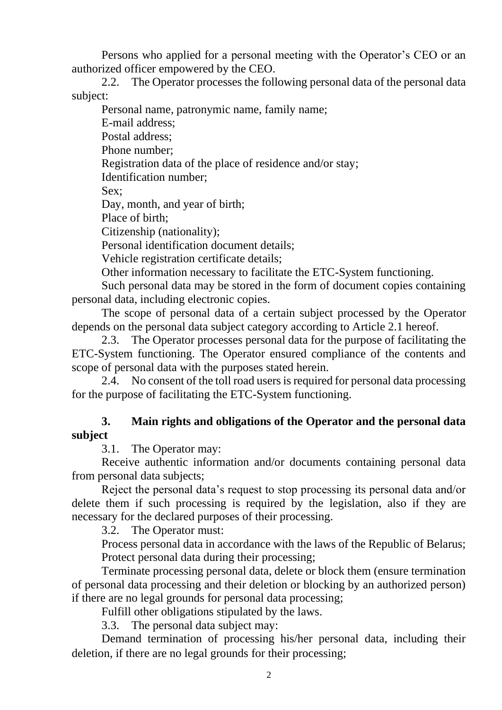Persons who applied for a personal meeting with the Operator's CEO or an authorized officer empowered by the CEO.

2.2. The Operator processes the following personal data of the personal data subject:

Personal name, patronymic name, family name; E-mail address; Postal address; Phone number; Registration data of the place of residence and/or stay; Identification number; Sex; Day, month, and year of birth; Place of birth; Citizenship (nationality); Personal identification document details;

Vehicle registration certificate details;

Other information necessary to facilitate the ETC-System functioning.

Such personal data may be stored in the form of document copies containing personal data, including electronic copies.

The scope of personal data of a certain subject processed by the Operator depends on the personal data subject category according to Article 2.1 hereof.

2.3. The Operator processes personal data for the purpose of facilitating the ETC-System functioning. The Operator ensured compliance of the contents and scope of personal data with the purposes stated herein.

2.4. No consent of the toll road users is required for personal data processing for the purpose of facilitating the ETC-System functioning.

## **3. Main rights and obligations of the Operator and the personal data subject**

3.1. The Operator may:

Receive authentic information and/or documents containing personal data from personal data subjects;

Reject the personal data's request to stop processing its personal data and/or delete them if such processing is required by the legislation, also if they are necessary for the declared purposes of their processing.

3.2. The Operator must:

Process personal data in accordance with the laws of the Republic of Belarus; Protect personal data during their processing;

Terminate processing personal data, delete or block them (ensure termination of personal data processing and their deletion or blocking by an authorized person) if there are no legal grounds for personal data processing;

Fulfill other obligations stipulated by the laws.

3.3. The personal data subject may:

Demand termination of processing his/her personal data, including their deletion, if there are no legal grounds for their processing;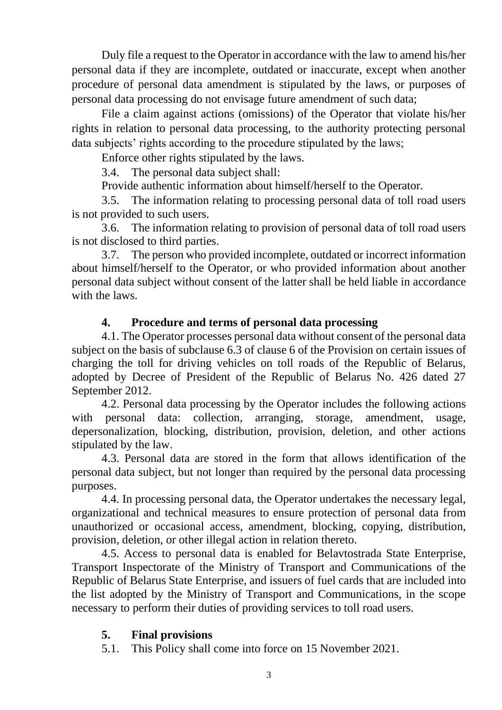Duly file a request to the Operator in accordance with the law to amend his/her personal data if they are incomplete, outdated or inaccurate, except when another procedure of personal data amendment is stipulated by the laws, or purposes of personal data processing do not envisage future amendment of such data;

File a claim against actions (omissions) of the Operator that violate his/her rights in relation to personal data processing, to the authority protecting personal data subjects' rights according to the procedure stipulated by the laws;

Enforce other rights stipulated by the laws.

3.4. The personal data subject shall:

Provide authentic information about himself/herself to the Operator.

3.5. The information relating to processing personal data of toll road users is not provided to such users.

3.6. The information relating to provision of personal data of toll road users is not disclosed to third parties.

3.7. The person who provided incomplete, outdated or incorrect information about himself/herself to the Operator, or who provided information about another personal data subject without consent of the latter shall be held liable in accordance with the laws.

# **4. Procedure and terms of personal data processing**

4.1. The Operator processes personal data without consent of the personal data subject on the basis of subclause 6.3 of clause 6 of the Provision on certain issues of charging the toll for driving vehicles on toll roads of the Republic of Belarus, adopted by Decree of President of the Republic of Belarus No. 426 dated 27 September 2012.

4.2. Personal data processing by the Operator includes the following actions with personal data: collection, arranging, storage, amendment, usage, depersonalization, blocking, distribution, provision, deletion, and other actions stipulated by the law.

4.3. Personal data are stored in the form that allows identification of the personal data subject, but not longer than required by the personal data processing purposes.

4.4. In processing personal data, the Operator undertakes the necessary legal, organizational and technical measures to ensure protection of personal data from unauthorized or occasional access, amendment, blocking, copying, distribution, provision, deletion, or other illegal action in relation thereto.

4.5. Access to personal data is enabled for Belavtostrada State Enterprise, Transport Inspectorate of the Ministry of Transport and Communications of the Republic of Belarus State Enterprise, and issuers of fuel cards that are included into the list adopted by the Ministry of Transport and Communications, in the scope necessary to perform their duties of providing services to toll road users.

# **5. Final provisions**

5.1. This Policy shall come into force on 15 November 2021.